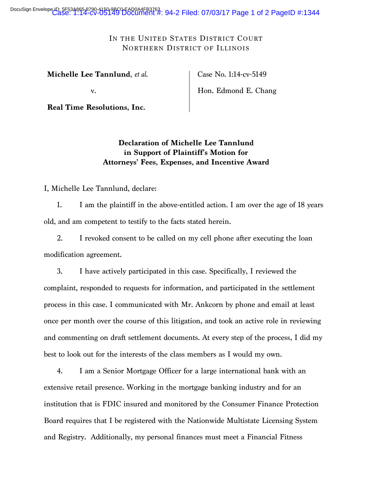DocuSign Envelope ID: 5F53A865-8790-4150-9BC0-EAD0A4FB3763<br>Case: 1:14-cv-05149 Document #: 94-2 Filed: 07/03/17 Page 1 of 2 PageID #:1344

IN THE UNITED STATES DISTRICT COURT NORTHERN DISTRICT OF ILLINOIS

**Michelle Lee Tannlund**, *et al*.

v.

**Real Time Resolutions, Inc.**

Case No. 1:14-cv-5149

Hon. Edmond E. Chang

## **Declaration of Michelle Lee Tannlund in Support of Plaintiff's Motion for Attorneys' Fees, Expenses, and Incentive Award**

## I, Michelle Lee Tannlund, declare:

1. I am the plaintiff in the above-entitled action. I am over the age of 18 years old, and am competent to testify to the facts stated herein.

2. I revoked consent to be called on my cell phone after executing the loan modification agreement.

3. I have actively participated in this case. Specifically, I reviewed the complaint, responded to requests for information, and participated in the settlement process in this case. I communicated with Mr. Ankcorn by phone and email at least once per month over the course of this litigation, and took an active role in reviewing and commenting on draft settlement documents. At every step of the process, I did my best to look out for the interests of the class members as I would my own.

4. I am a Senior Mortgage Officer for a large international bank with an extensive retail presence. Working in the mortgage banking industry and for an institution that is FDIC insured and monitored by the Consumer Finance Protection Board requires that I be registered with the Nationwide Multistate Licensing System and Registry. Additionally, my personal finances must meet a Financial Fitness